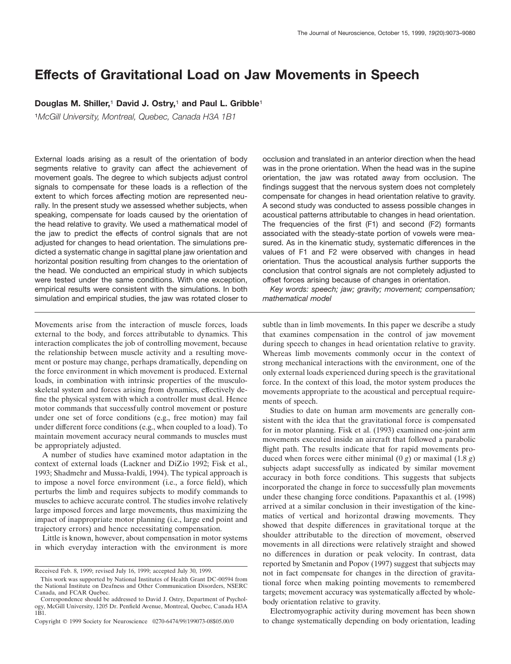# **Effects of Gravitational Load on Jaw Movements in Speech**

### **Douglas M. Shiller,**<sup>1</sup> **David J. Ostry,**<sup>1</sup> **and Paul L. Gribble**<sup>1</sup>

<sup>1</sup>*McGill University, Montreal, Quebec, Canada H3A 1B1*

External loads arising as a result of the orientation of body segments relative to gravity can affect the achievement of movement goals. The degree to which subjects adjust control signals to compensate for these loads is a reflection of the extent to which forces affecting motion are represented neurally. In the present study we assessed whether subjects, when speaking, compensate for loads caused by the orientation of the head relative to gravity. We used a mathematical model of the jaw to predict the effects of control signals that are not adjusted for changes to head orientation. The simulations predicted a systematic change in sagittal plane jaw orientation and horizontal position resulting from changes to the orientation of the head. We conducted an empirical study in which subjects were tested under the same conditions. With one exception, empirical results were consistent with the simulations. In both simulation and empirical studies, the jaw was rotated closer to

Movements arise from the interaction of muscle forces, loads external to the body, and forces attributable to dynamics. This interaction complicates the job of controlling movement, because the relationship between muscle activity and a resulting movement or posture may change, perhaps dramatically, depending on the force environment in which movement is produced. External loads, in combination with intrinsic properties of the musculoskeletal system and forces arising from dynamics, effectively define the physical system with which a controller must deal. Hence motor commands that successfully control movement or posture under one set of force conditions (e.g., free motion) may fail under different force conditions (e.g., when coupled to a load). To maintain movement accuracy neural commands to muscles must be appropriately adjusted.

A number of studies have examined motor adaptation in the context of external loads (Lackner and DiZio 1992; Fisk et al., 1993; Shadmehr and Mussa-Ivaldi, 1994). The typical approach is to impose a novel force environment (i.e., a force field), which perturbs the limb and requires subjects to modify commands to muscles to achieve accurate control. The studies involve relatively large imposed forces and large movements, thus maximizing the impact of inappropriate motor planning (i.e., large end point and trajectory errors) and hence necessitating compensation.

Little is known, however, about compensation in motor systems in which everyday interaction with the environment is more occlusion and translated in an anterior direction when the head was in the prone orientation. When the head was in the supine orientation, the jaw was rotated away from occlusion. The findings suggest that the nervous system does not completely compensate for changes in head orientation relative to gravity. A second study was conducted to assess possible changes in acoustical patterns attributable to changes in head orientation. The frequencies of the first (F1) and second (F2) formants associated with the steady-state portion of vowels were measured. As in the kinematic study, systematic differences in the values of F1 and F2 were observed with changes in head orientation. Thus the acoustical analysis further supports the conclusion that control signals are not completely adjusted to offset forces arising because of changes in orientation.

*Key words: speech; jaw; gravity; movement; compensation; mathematical model*

subtle than in limb movements. In this paper we describe a study that examines compensation in the control of jaw movement during speech to changes in head orientation relative to gravity. Whereas limb movements commonly occur in the context of strong mechanical interactions with the environment, one of the only external loads experienced during speech is the gravitational force. In the context of this load, the motor system produces the movements appropriate to the acoustical and perceptual requirements of speech.

Studies to date on human arm movements are generally consistent with the idea that the gravitational force is compensated for in motor planning. Fisk et al. (1993) examined one-joint arm movements executed inside an aircraft that followed a parabolic flight path. The results indicate that for rapid movements produced when forces were either minimal  $(0 g)$  or maximal  $(1.8 g)$ subjects adapt successfully as indicated by similar movement accuracy in both force conditions. This suggests that subjects incorporated the change in force to successfully plan movements under these changing force conditions. Papaxanthis et al. (1998) arrived at a similar conclusion in their investigation of the kinematics of vertical and horizontal drawing movements. They showed that despite differences in gravitational torque at the shoulder attributable to the direction of movement, observed movements in all directions were relatively straight and showed no differences in duration or peak velocity. In contrast, data reported by Smetanin and Popov (1997) suggest that subjects may not in fact compensate for changes in the direction of gravitational force when making pointing movements to remembered targets; movement accuracy was systematically affected by wholebody orientation relative to gravity.

Electromyographic activity during movement has been shown to change systematically depending on body orientation, leading

Received Feb. 8, 1999; revised July 16, 1999; accepted July 30, 1999.

This work was supported by National Institutes of Health Grant DC-00594 from the National Institute on Deafness and Other Communication Disorders, NSERC Canada, and FCAR Quebec.

Correspondence should be addressed to David J. Ostry, Department of Psychology, McGill University, 1205 Dr. Penfield Avenue, Montreal, Quebec, Canada H3A 1B1.

Copyright © 1999 Society for Neuroscience 0270-6474/99/199073-08\$05.00/0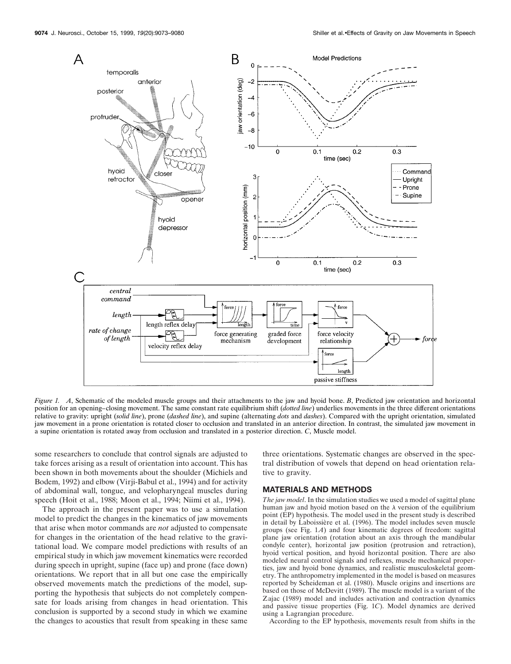

*Figure 1. A*, Schematic of the modeled muscle groups and their attachments to the jaw and hyoid bone. *B*, Predicted jaw orientation and horizontal position for an opening–closing movement. The same constant rate equilibrium shift (*dotted line*) underlies movements in the three different orientations relative to gravity: upright (*solid line*), prone (*dashed line*), and supine (alternating *dots* and *dashes*). Compared with the upright orientation, simulated jaw movement in a prone orientation is rotated closer to occlusion and translated in an anterior direction. In contrast, the simulated jaw movement in a supine orientation is rotated away from occlusion and translated in a posterior direction. *C*, Muscle model.

some researchers to conclude that control signals are adjusted to take forces arising as a result of orientation into account. This has been shown in both movements about the shoulder (Michiels and Bodem, 1992) and elbow (Virji-Babul et al., 1994) and for activity of abdominal wall, tongue, and velopharyngeal muscles during speech (Hoit et al., 1988; Moon et al., 1994; Niimi et al., 1994).

The approach in the present paper was to use a simulation model to predict the changes in the kinematics of jaw movements that arise when motor commands are *not* adjusted to compensate for changes in the orientation of the head relative to the gravitational load. We compare model predictions with results of an empirical study in which jaw movement kinematics were recorded during speech in upright, supine (face up) and prone (face down) orientations. We report that in all but one case the empirically observed movements match the predictions of the model, supporting the hypothesis that subjects do not completely compensate for loads arising from changes in head orientation. This conclusion is supported by a second study in which we examine the changes to acoustics that result from speaking in these same

three orientations. Systematic changes are observed in the spectral distribution of vowels that depend on head orientation relative to gravity.

## **MATERIALS AND METHODS**

*The jaw model*. In the simulation studies we used a model of sagittal plane human jaw and hyoid motion based on the  $\lambda$  version of the equilibrium point (EP) hypothesis. The model used in the present study is described in detail by Laboissière et al. (1996). The model includes seven muscle groups (see Fig. 1*A*) and four kinematic degrees of freedom: sagittal plane jaw orientation (rotation about an axis through the mandibular condyle center), horizontal jaw position (protrusion and retraction), hyoid vertical position, and hyoid horizontal position. There are also modeled neural control signals and reflexes, muscle mechanical properties, jaw and hyoid bone dynamics, and realistic musculoskeletal geometry. The anthropometry implemented in the model is based on measures reported by Scheideman et al. (1980). Muscle origins and insertions are based on those of McDevitt (1989). The muscle model is a variant of the Zajac (1989) model and includes activation and contraction dynamics and passive tissue properties (Fig. 1*C*). Model dynamics are derived using a Lagrangian procedure.

According to the EP hypothesis, movements result from shifts in the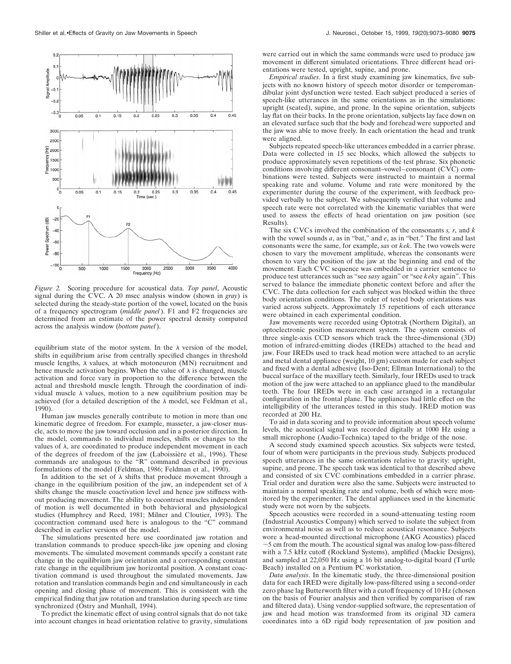

*Figure 2.* Scoring procedure for acoustical data. *Top panel*, Acoustic signal during the CVC. A 20 msec analysis window (shown in *gray*) is selected during the steady-state portion of the vowel, located on the basis of a frequency spectrogram (*middle panel*). F1 and F2 frequencies are determined from an estimate of the power spectral density computed across the analysis window (*bottom panel*).

equilibrium state of the motor system. In the  $\lambda$  version of the model, shifts in equilibrium arise from centrally specified changes in threshold muscle lengths,  $\lambda$  values, at which motoneuron (MN) recruitment and hence muscle activation begins. When the value of  $\lambda$  is changed, muscle activation and force vary in proportion to the difference between the actual and threshold muscle length. Through the coordination of individual muscle  $\lambda$  values, motion to a new equilibrium position may be achieved (for a detailed description of the  $\lambda$  model, see Feldman et al., 1990).

Human jaw muscles generally contribute to motion in more than one kinematic degree of freedom. For example, masseter, a jaw-closer muscle, acts to move the jaw toward occlusion and in a posterior direction. In the model, commands to individual muscles, shifts or changes to the values of  $\lambda$ , are coordinated to produce independent movement in each of the degrees of freedom of the jaw (Laboissière et al., 1996). These commands are analogous to the "R" command described in previous formulations of the model (Feldman, 1986; Feldman et al., 1990).

In addition to the set of  $\lambda$  shifts that produce movement through a change in the equilibrium position of the jaw, an independent set of  $\lambda$ shifts change the muscle coactivation level and hence jaw stiffness without producing movement. The ability to cocontract muscles independent of motion is well documented in both behavioral and physiological studies (Humphrey and Reed, 1981; Milner and Cloutier, 1993). The cocontraction command used here is analogous to the "C" command described in earlier versions of the model.

The simulations presented here use coordinated jaw rotation and translation commands to produce speech-like jaw opening and closing movements. The simulated movement commands specify a constant rate change in the equilibrium jaw orientation and a corresponding constant rate change in the equilibrium jaw horizontal position. A constant coactivation command is used throughout the simulated movements. Jaw rotation and translation commands begin and end simultaneously in each opening and closing phase of movement. This is consistent with the empirical finding that jaw rotation and translation during speech are time synchronized (Ostry and Munhall, 1994).

To predict the kinematic effect of using control signals that do not take into account changes in head orientation relative to gravity, simulations were carried out in which the same commands were used to produce jaw movement in different simulated orientations. Three different head orientations were tested, upright, supine, and prone.

*Empirical studies*. In a first study examining jaw kinematics, five subjects with no known history of speech motor disorder or temperomandibular joint dysfunction were tested. Each subject produced a series of speech-like utterances in the same orientations as in the simulations: upright (seated), supine, and prone. In the supine orientation, subjects lay flat on their backs. In the prone orientation, subjects lay face down on an elevated surface such that the body and forehead were supported and the jaw was able to move freely. In each orientation the head and trunk were aligned.

Subjects repeated speech-like utterances embedded in a carrier phrase. Data were collected in 15 sec blocks, which allowed the subjects to produce approximately seven repetitions of the test phrase. Six phonetic conditions involving different consonant–vowel–consonant (CVC) combinations were tested. Subjects were instructed to maintain a normal speaking rate and volume. Volume and rate were monitored by the experimenter during the course of the experiment, with feedback provided verbally to the subject. We subsequently verified that volume and speech rate were not correlated with the kinematic variables that were used to assess the effects of head orientation on jaw position (see Results).

The six CVCs involved the combination of the consonants *s, r*, and *k* with the vowel sounds *a*, as in "bat," and *e*, as in "bet." The first and last consonants were the same, for example, *sas* or *kek*. The two vowels were chosen to vary the movement amplitude, whereas the consonants were chosen to vary the position of the jaw at the beginning and end of the movement. Each CVC sequence was embedded in a carrier sentence to produce test utterances such as "see *sasy* again" or "see *keky* again". This served to balance the immediate phonetic context before and after the CVC. The data collection for each subject was blocked within the three body orientation conditions. The order of tested body orientations was varied across subjects. Approximately 15 repetitions of each utterance were obtained in each experimental condition.

Jaw movements were recorded using Optotrak (Northern Digital), an optoelectronic position measurement system. The system consists of three single-axis CCD sensors which track the three-dimensional (3D) motion of infrared-emitting diodes (IREDs) attached to the head and jaw. Four IREDs used to track head motion were attached to an acrylic and metal dental appliance (weight, 10 gm) custom made for each subject and fixed with a dental adhesive (Iso-Dent; Ellman International) to the buccal surface of the maxillary teeth. Similarly, four IREDs used to track motion of the jaw were attached to an appliance glued to the mandibular teeth. The four IREDs were in each case arranged in a rectangular configuration in the frontal plane. The appliances had little effect on the intelligibility of the utterances tested in this study. IRED motion was recorded at 200 Hz.

To aid in data scoring and to provide information about speech volume levels, the acoustical signal was recorded digitally at 1000 Hz using a small microphone (Audio-Technica) taped to the bridge of the nose.

A second study examined speech acoustics. Six subjects were tested, four of whom were participants in the previous study. Subjects produced speech utterances in the same orientations relative to gravity: upright, supine, and prone. The speech task was identical to that described above and consisted of six CVC combinations embedded in a carrier phrase. Trial order and duration were also the same. Subjects were instructed to maintain a normal speaking rate and volume, both of which were monitored by the experimenter. The dental appliances used in the kinematic study were not worn by the subjects.

Speech acoustics were recorded in a sound-attenuating testing room (Industrial Acoustics Company) which served to isolate the subject from environmental noise as well as to reduce acoustical resonance. Subjects wore a head-mounted directional microphone (AKG Acoustics) placed  $\sim$ 5 cm from the mouth. The acoustical signal was analog low-pass-filtered with a 7.5 kHz cutoff (Rockland Systems), amplified (Mackie Designs), and sampled at 22,050 Hz using a 16 bit analog-to-digital board (Turtle Beach) installed on a Pentium PC workstation.

*Data analysis*. In the kinematic study, the three-dimensional position data for each IRED were digitally low-pass-filtered using a second-order zero phase lag Butterworth filter with a cutoff frequency of 10 Hz (chosen on the basis of Fourier analysis and then verified by comparison of raw and filtered data). Using vendor-supplied software, the representation of jaw and head motion was transformed from its original 3D camera coordinates into a 6D rigid body representation of jaw position and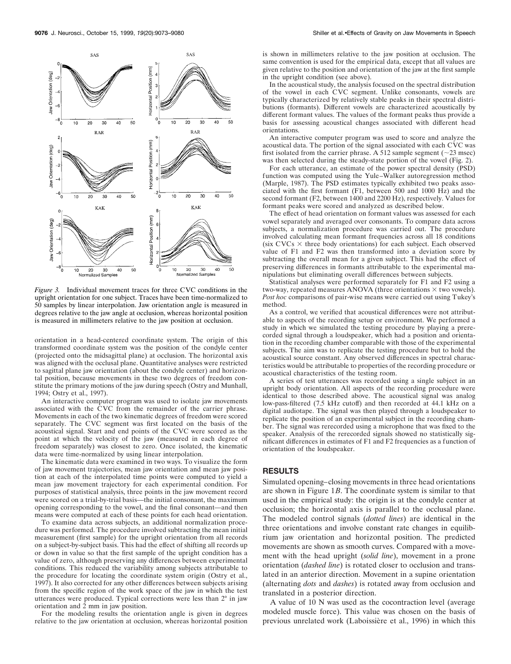

*Figure 3.* Individual movement traces for three CVC conditions in the upright orientation for one subject. Traces have been time-normalized to 50 samples by linear interpolation. Jaw orientation angle is measured in degrees relative to the jaw angle at occlusion, whereas horizontal position is measured in millimeters relative to the jaw position at occlusion.

orientation in a head-centered coordinate system. The origin of this transformed coordinate system was the position of the condyle center (projected onto the midsagittal plane) at occlusion. The horizontal axis was aligned with the occlusal plane. Quantitative analyses were restricted to sagittal plane jaw orientation (about the condyle center) and horizontal position, because movements in these two degrees of freedom constitute the primary motions of the jaw during speech (Ostry and Munhall, 1994; Ostry et al., 1997).

An interactive computer program was used to isolate jaw movements associated with the CVC from the remainder of the carrier phrase. Movements in each of the two kinematic degrees of freedom were scored separately. The CVC segment was first located on the basis of the acoustical signal. Start and end points of the CVC were scored as the point at which the velocity of the jaw (measured in each degree of freedom separately) was closest to zero. Once isolated, the kinematic data were time-normalized by using linear interpolation.

The kinematic data were examined in two ways. To visualize the form of jaw movement trajectories, mean jaw orientation and mean jaw position at each of the interpolated time points were computed to yield a mean jaw movement trajectory for each experimental condition. For purposes of statistical analysis, three points in the jaw movement record were scored on a trial-by-trial basis—the initial consonant, the maximum opening corresponding to the vowel, and the final consonant—and then means were computed at each of these points for each head orientation.

To examine data across subjects, an additional normalization procedure was performed. The procedure involved subtracting the mean initial measurement (first sample) for the upright orientation from all records on a subject-by-subject basis. This had the effect of shifting all records up or down in value so that the first sample of the upright condition has a value of zero, although preserving any differences between experimental conditions. This reduced the variability among subjects attributable to the procedure for locating the coordinate system origin (Ostry et al., 1997). It also corrected for any other differences between subjects arising from the specific region of the work space of the jaw in which the test utterances were produced. Typical corrections were less than 2° in jaw orientation and 2 mm in jaw position.

For the modeling results the orientation angle is given in degrees relative to the jaw orientation at occlusion, whereas horizontal position is shown in millimeters relative to the jaw position at occlusion. The same convention is used for the empirical data, except that all values are given relative to the position and orientation of the jaw at the first sample in the upright condition (see above).

In the acoustical study, the analysis focused on the spectral distribution of the vowel in each CVC segment. Unlike consonants, vowels are typically characterized by relatively stable peaks in their spectral distributions (formants). Different vowels are characterized acoustically by different formant values. The values of the formant peaks thus provide a basis for assessing acoustical changes associated with different head orientations.

An interactive computer program was used to score and analyze the acoustical data. The portion of the signal associated with each CVC was first isolated from the carrier phrase. A 512 sample segment  $(\sim 23$  msec) was then selected during the steady-state portion of the vowel (Fig. 2).

For each utterance, an estimate of the power spectral density (PSD) function was computed using the Yule–Walker autoregression method (Marple, 1987). The PSD estimates typically exhibited two peaks associated with the first formant (F1, between 500 and 1000  $\hat{Hz}$ ) and the second formant (F2, between 1400 and 2200 Hz), respectively. Values for formant peaks were scored and analyzed as described below.

The effect of head orientation on formant values was assessed for each vowel separately and averaged over consonants. To compare data across subjects, a normalization procedure was carried out. The procedure involved calculating mean formant frequencies across all 18 conditions (six  $CVCs \times$  three body orientations) for each subject. Each observed value of F1 and F2 was then transformed into a deviation score by subtracting the overall mean for a given subject. This had the effect of preserving differences in formants attributable to the experimental manipulations but eliminating overall differences between subjects.

Statistical analyses were performed separately for F1 and F2 using a two-way, repeated measures ANOVA (three orientations  $\times$  two vowels). *Post hoc* comparisons of pair-wise means were carried out using Tukey's method.

As a control, we verified that acoustical differences were not attributable to aspects of the recording setup or environment. We performed a study in which we simulated the testing procedure by playing a prerecorded signal through a loudspeaker, which had a position and orientation in the recording chamber comparable with those of the experimental subjects. The aim was to replicate the testing procedure but to hold the acoustical source constant. Any observed differences in spectral characteristics would be attributable to properties of the recording procedure or acoustical characteristics of the testing room.

A series of test utterances was recorded using a single subject in an upright body orientation. All aspects of the recording procedure were identical to those described above. The acoustical signal was analog low-pass-filtered (7.5 kHz cutoff) and then recorded at 44.1 kHz on a digital audiotape. The signal was then played through a loudspeaker to replicate the position of an experimental subject in the recording chamber. The signal was rerecorded using a microphone that was fixed to the speaker. Analysis of the rerecorded signals showed no statistically significant differences in estimates of F1 and F2 frequencies as a function of orientation of the loudspeaker.

#### **RESULTS**

Simulated opening–closing movements in three head orientations are shown in Figure 1*B*. The coordinate system is similar to that used in the empirical study: the origin is at the condyle center at occlusion; the horizontal axis is parallel to the occlusal plane. The modeled control signals (*dotted lines*) are identical in the three orientations and involve constant rate changes in equilibrium jaw orientation and horizontal position. The predicted movements are shown as smooth curves. Compared with a movement with the head upright (*solid line*), movement in a prone orientation (*dashed line*) is rotated closer to occlusion and translated in an anterior direction. Movement in a supine orientation (alternating *dots* and *dashes*) is rotated away from occlusion and translated in a posterior direction.

A value of 10 N was used as the cocontraction level (average modeled muscle force). This value was chosen on the basis of previous unrelated work (Laboissière et al., 1996) in which this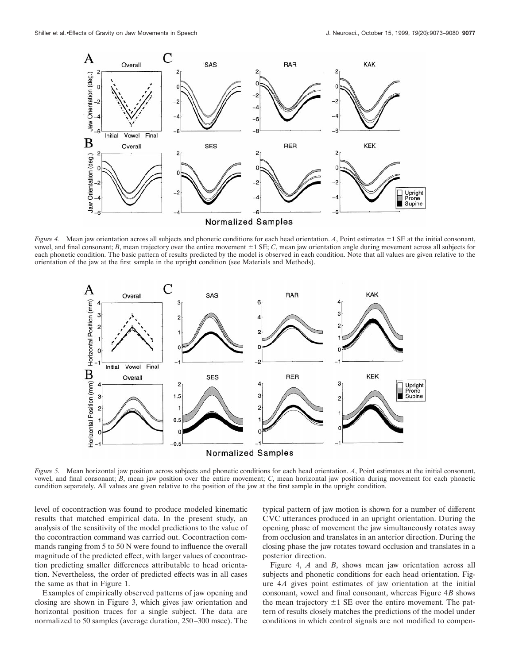

*Figure 4.* Mean jaw orientation across all subjects and phonetic conditions for each head orientation. *A*, Point estimates  $\pm 1$  SE at the initial consonant, vowel, and final consonant; *B*, mean trajectory over the entire movement  $\pm 1$  SE; *C*, mean jaw orientation angle during movement across all subjects for each phonetic condition. The basic pattern of results predicted by the model is observed in each condition. Note that all values are given relative to the orientation of the jaw at the first sample in the upright condition (see Materials and Methods).



*Figure 5.* Mean horizontal jaw position across subjects and phonetic conditions for each head orientation. *A*, Point estimates at the initial consonant, vowel, and final consonant; *B*, mean jaw position over the entire movement; *C*, mean horizontal jaw position during movement for each phonetic condition separately. All values are given relative to the position of the jaw at the first sample in the upright condition.

level of cocontraction was found to produce modeled kinematic results that matched empirical data. In the present study, an analysis of the sensitivity of the model predictions to the value of the cocontraction command was carried out. Cocontraction commands ranging from 5 to 50 N were found to influence the overall magnitude of the predicted effect, with larger values of cocontraction predicting smaller differences attributable to head orientation. Nevertheless, the order of predicted effects was in all cases the same as that in Figure 1.

Examples of empirically observed patterns of jaw opening and closing are shown in Figure 3, which gives jaw orientation and horizontal position traces for a single subject. The data are normalized to 50 samples (average duration, 250–300 msec). The

typical pattern of jaw motion is shown for a number of different CVC utterances produced in an upright orientation. During the opening phase of movement the jaw simultaneously rotates away from occlusion and translates in an anterior direction. During the closing phase the jaw rotates toward occlusion and translates in a posterior direction.

Figure 4, *A* and *B*, shows mean jaw orientation across all subjects and phonetic conditions for each head orientation. Figure 4*A* gives point estimates of jaw orientation at the initial consonant, vowel and final consonant, whereas Figure 4*B* shows the mean trajectory  $\pm 1$  SE over the entire movement. The pattern of results closely matches the predictions of the model under conditions in which control signals are not modified to compen-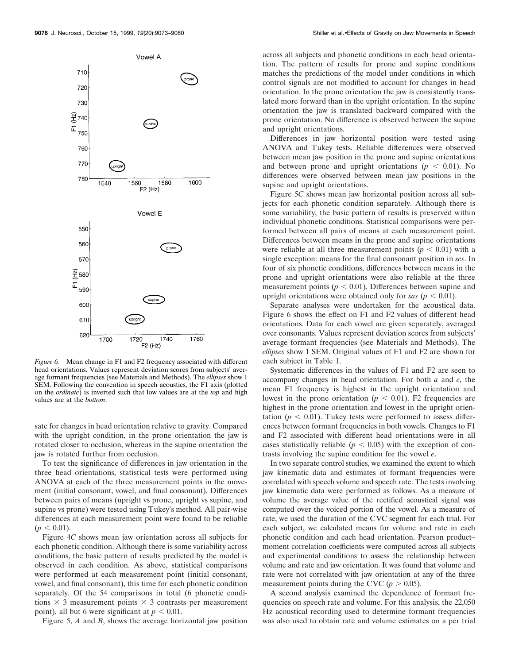

*Figure 6.* Mean change in F1 and F2 frequency associated with different head orientations. Values represent deviation scores from subjects' average formant frequencies (see Materials and Methods). The *ellipses* show 1 SEM. Following the convention in speech acoustics, the F1 axis (plotted on the *ordinate*) is inverted such that low values are at the *top* and high values are at the *bottom*.

sate for changes in head orientation relative to gravity. Compared with the upright condition, in the prone orientation the jaw is rotated closer to occlusion, whereas in the supine orientation the jaw is rotated further from occlusion.

To test the significance of differences in jaw orientation in the three head orientations, statistical tests were performed using ANOVA at each of the three measurement points in the movement (initial consonant, vowel, and final consonant). Differences between pairs of means (upright vs prone, upright vs supine, and supine vs prone) were tested using Tukey's method. All pair-wise differences at each measurement point were found to be reliable  $(p < 0.01)$ .

Figure 4*C* shows mean jaw orientation across all subjects for each phonetic condition. Although there is some variability across conditions, the basic pattern of results predicted by the model is observed in each condition. As above, statistical comparisons were performed at each measurement point (initial consonant, vowel, and final consonant), this time for each phonetic condition separately. Of the 54 comparisons in total (6 phonetic conditions  $\times$  3 measurement points  $\times$  3 contrasts per measurement point), all but 6 were significant at  $p < 0.01$ .

Figure 5, *A* and *B*, shows the average horizontal jaw position

across all subjects and phonetic conditions in each head orientation. The pattern of results for prone and supine conditions matches the predictions of the model under conditions in which control signals are not modified to account for changes in head orientation. In the prone orientation the jaw is consistently translated more forward than in the upright orientation. In the supine orientation the jaw is translated backward compared with the prone orientation. No difference is observed between the supine and upright orientations.

Differences in jaw horizontal position were tested using ANOVA and Tukey tests. Reliable differences were observed between mean jaw position in the prone and supine orientations and between prone and upright orientations  $(p < 0.01)$ . No differences were observed between mean jaw positions in the supine and upright orientations.

Figure 5*C* shows mean jaw horizontal position across all subjects for each phonetic condition separately. Although there is some variability, the basic pattern of results is preserved within individual phonetic conditions. Statistical comparisons were performed between all pairs of means at each measurement point. Differences between means in the prone and supine orientations were reliable at all three measurement points ( $p < 0.01$ ) with a single exception: means for the final consonant position in *ses*. In four of six phonetic conditions, differences between means in the prone and upright orientations were also reliable at the three measurement points  $(p < 0.01)$ . Differences between supine and upright orientations were obtained only for *sas* ( $p < 0.01$ ).

Separate analyses were undertaken for the acoustical data. Figure 6 shows the effect on F1 and F2 values of different head orientations. Data for each vowel are given separately, averaged over consonants. Values represent deviation scores from subjects' average formant frequencies (see Materials and Methods). The *ellipses* show 1 SEM. Original values of F1 and F2 are shown for each subject in Table 1.

Systematic differences in the values of F1 and F2 are seen to accompany changes in head orientation. For both *a* and *e*, the mean F1 frequency is highest in the upright orientation and lowest in the prone orientation ( $p < 0.01$ ). F2 frequencies are highest in the prone orientation and lowest in the upright orientation ( $p < 0.01$ ). Tukey tests were performed to assess differences between formant frequencies in both vowels. Changes to F1 and F2 associated with different head orientations were in all cases statistically reliable ( $p < 0.05$ ) with the exception of contrasts involving the supine condition for the vowel *e*.

In two separate control studies, we examined the extent to which jaw kinematic data and estimates of formant frequencies were correlated with speech volume and speech rate. The tests involving jaw kinematic data were performed as follows. As a measure of volume the average value of the rectified acoustical signal was computed over the voiced portion of the vowel. As a measure of rate, we used the duration of the CVC segment for each trial. For each subject, we calculated means for volume and rate in each phonetic condition and each head orientation. Pearson product– moment correlation coefficients were computed across all subjects and experimental conditions to assess the relationship between volume and rate and jaw orientation. It was found that volume and rate were not correlated with jaw orientation at any of the three measurement points during the CVC ( $p > 0.05$ ).

A second analysis examined the dependence of formant frequencies on speech rate and volume. For this analysis, the 22,050 Hz acoustical recording used to determine formant frequencies was also used to obtain rate and volume estimates on a per trial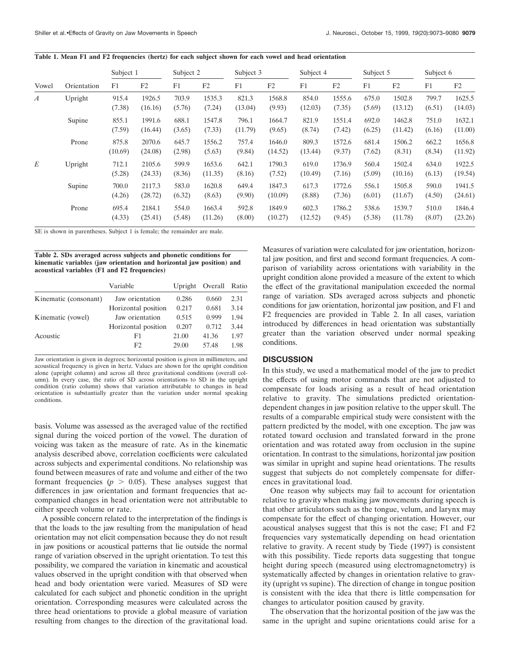| Table 1. Mean F1 and F2 frequencies (hertz) for each subject shown for each vowel and head orientation |  |  |  |
|--------------------------------------------------------------------------------------------------------|--|--|--|
|--------------------------------------------------------------------------------------------------------|--|--|--|

| Vowel            |             | Subject 1        |                   | Subject 2       |                   | Subject 3        |                   | Subject 4        |                  | Subject 5       |                   | Subject 6       |                   |
|------------------|-------------|------------------|-------------------|-----------------|-------------------|------------------|-------------------|------------------|------------------|-----------------|-------------------|-----------------|-------------------|
|                  | Orientation | F1               | F2                | F1              | F2                | F1               | F2                | F1               | F2               | F1              | F <sub>2</sub>    | F1              | F2                |
| $\boldsymbol{A}$ | Upright     | 915.4<br>(7.38)  | 1926.5<br>(16.16) | 703.9<br>(5.76) | 1535.3<br>(7.24)  | 821.3<br>(13.04) | 1568.8<br>(9.93)  | 854.0<br>(12.03) | 1555.6<br>(7.35) | 675.0<br>(5.69) | 1502.8<br>(13.12) | 799.7<br>(6.51) | 1625.5<br>(14.03) |
|                  | Supine      | 855.1<br>(7.59)  | 1991.6<br>(16.44) | 688.1<br>(3.65) | 1547.8<br>(7.33)  | 796.1<br>(11.79) | 1664.7<br>(9.65)  | 821.9<br>(8.74)  | 1551.4<br>(7.42) | 692.0<br>(6.25) | 1462.8<br>(11.42) | 751.0<br>(6.16) | 1632.1<br>(11.00) |
|                  | Prone       | 875.8<br>(10.69) | 2070.6<br>(24.08) | 645.7<br>(2.98) | 1556.2<br>(5.63)  | 757.4<br>(9.84)  | 1646.0<br>(14.52) | 809.3<br>(13.44) | 1572.6<br>(9.37) | 681.4<br>(7.62) | 1506.2<br>(8.31)  | 662.2<br>(8.34) | 1656.8<br>(11.92) |
| E                | Upright     | 712.1<br>(5.28)  | 2105.6<br>(24.33) | 599.9<br>(8.36) | 1653.6<br>(11.35) | 642.1<br>(8.16)  | 1790.3<br>(7.52)  | 619.0<br>(10.49) | 1736.9<br>(7.16) | 560.4<br>(5.09) | 1502.4<br>(10.16) | 634.0<br>(6.13) | 1922.5<br>(19.54) |
|                  | Supine      | 700.0<br>(4.26)  | 2117.3<br>(28.72) | 583.0<br>(6.32) | 1620.8<br>(8.63)  | 649.4<br>(9.90)  | 1847.3<br>(10.09) | 617.3<br>(8.88)  | 1772.6<br>(7.36) | 556.1<br>(6.01) | 1505.8<br>(11.67) | 590.0<br>(4.50) | 1941.5<br>(24.61) |
|                  | Prone       | 695.4<br>(4.33)  | 2184.1<br>(25.41) | 554.0<br>(5.48) | 1663.4<br>(11.26) | 592.8<br>(8.00)  | 1849.9<br>(10.27) | 602.3<br>(12.52) | 1786.2<br>(9.45) | 538.6<br>(5.38) | 1539.7<br>(11.78) | 510.0<br>(8.07) | 1846.4<br>(23.26) |

SE is shown in parentheses. Subject 1 is female; the remainder are male.

**Table 2. SDs averaged across subjects and phonetic conditions for kinematic variables (jaw orientation and horizontal jaw position) and acoustical variables (F1 and F2 frequencies)**

|                       | Variable            |       | Upright Overall Ratio |      |
|-----------------------|---------------------|-------|-----------------------|------|
| Kinematic (consonant) | Jaw orientation     | 0.286 | 0.660                 | 2.31 |
|                       | Horizontal position | 0.217 | 0.681                 | 3.14 |
| Kinematic (vowel)     | Jaw orientation     | 0.515 | 0.999                 | 1.94 |
|                       | Horizontal position | 0.207 | 0.712                 | 3.44 |
| Acoustic              | F1                  | 21.00 | 41.36                 | 1.97 |
|                       | F <sub>2</sub>      | 29.00 | 57.48                 | 1.98 |
|                       |                     |       |                       |      |

Jaw orientation is given in degrees; horizontal position is given in millimeters, and acoustical frequency is given in hertz. Values are shown for the upright condition alone (upright column) and across all three gravitational conditions (overall column). In every case, the ratio of SD across orientations to SD in the upright condition (ratio column) shows that variation attributable to changes in head orientation is substantially greater than the variation under normal speaking conditions.

basis. Volume was assessed as the averaged value of the rectified signal during the voiced portion of the vowel. The duration of voicing was taken as the measure of rate. As in the kinematic analysis described above, correlation coefficients were calculated across subjects and experimental conditions. No relationship was found between measures of rate and volume and either of the two formant frequencies ( $p > 0.05$ ). These analyses suggest that differences in jaw orientation and formant frequencies that accompanied changes in head orientation were not attributable to either speech volume or rate.

A possible concern related to the interpretation of the findings is that the loads to the jaw resulting from the manipulation of head orientation may not elicit compensation because they do not result in jaw positions or acoustical patterns that lie outside the normal range of variation observed in the upright orientation. To test this possibility, we compared the variation in kinematic and acoustical values observed in the upright condition with that observed when head and body orientation were varied. Measures of SD were calculated for each subject and phonetic condition in the upright orientation. Corresponding measures were calculated across the three head orientations to provide a global measure of variation resulting from changes to the direction of the gravitational load.

Measures of variation were calculated for jaw orientation, horizontal jaw position, and first and second formant frequencies. A comparison of variability across orientations with variability in the upright condition alone provided a measure of the extent to which the effect of the gravitational manipulation exceeded the normal range of variation. SDs averaged across subjects and phonetic conditions for jaw orientation, horizontal jaw position, and F1 and F2 frequencies are provided in Table 2. In all cases, variation introduced by differences in head orientation was substantially greater than the variation observed under normal speaking conditions.

#### **DISCUSSION**

In this study, we used a mathematical model of the jaw to predict the effects of using motor commands that are not adjusted to compensate for loads arising as a result of head orientation relative to gravity. The simulations predicted orientationdependent changes in jaw position relative to the upper skull. The results of a comparable empirical study were consistent with the pattern predicted by the model, with one exception. The jaw was rotated toward occlusion and translated forward in the prone orientation and was rotated away from occlusion in the supine orientation. In contrast to the simulations, horizontal jaw position was similar in upright and supine head orientations. The results suggest that subjects do not completely compensate for differences in gravitational load.

One reason why subjects may fail to account for orientation relative to gravity when making jaw movements during speech is that other articulators such as the tongue, velum, and larynx may compensate for the effect of changing orientation. However, our acoustical analyses suggest that this is not the case; F1 and F2 frequencies vary systematically depending on head orientation relative to gravity. A recent study by Tiede (1997) is consistent with this possibility. Tiede reports data suggesting that tongue height during speech (measured using electromagnetometry) is systematically affected by changes in orientation relative to gravity (upright vs supine). The direction of change in tongue position is consistent with the idea that there is little compensation for changes to articulator position caused by gravity.

The observation that the horizontal position of the jaw was the same in the upright and supine orientations could arise for a